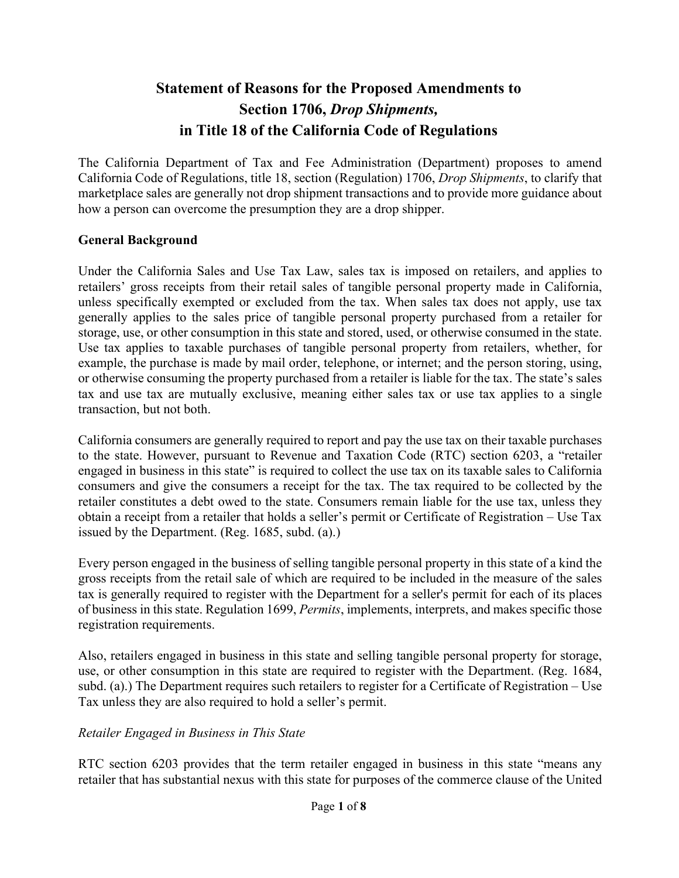# **Statement of Reasons for the Proposed Amendments to Section 1706,** *Drop Shipments,* **in Title 18 of the California Code of Regulations**

The California Department of Tax and Fee Administration (Department) proposes to amend California Code of Regulations, title 18, section (Regulation) 1706, *Drop Shipments*, to clarify that marketplace sales are generally not drop shipment transactions and to provide more guidance about how a person can overcome the presumption they are a drop shipper.

#### **General Background**

Under the California Sales and Use Tax Law, sales tax is imposed on retailers, and applies to retailers' gross receipts from their retail sales of tangible personal property made in California, unless specifically exempted or excluded from the tax. When sales tax does not apply, use tax generally applies to the sales price of tangible personal property purchased from a retailer for storage, use, or other consumption in this state and stored, used, or otherwise consumed in the state. Use tax applies to taxable purchases of tangible personal property from retailers, whether, for example, the purchase is made by mail order, telephone, or internet; and the person storing, using, or otherwise consuming the property purchased from a retailer is liable for the tax. The state's sales tax and use tax are mutually exclusive, meaning either sales tax or use tax applies to a single transaction, but not both.

California consumers are generally required to report and pay the use tax on their taxable purchases to the state. However, pursuant to Revenue and Taxation Code (RTC) section 6203, a "retailer engaged in business in this state" is required to collect the use tax on its taxable sales to California consumers and give the consumers a receipt for the tax. The tax required to be collected by the retailer constitutes a debt owed to the state. Consumers remain liable for the use tax, unless they obtain a receipt from a retailer that holds a seller's permit or Certificate of Registration – Use Tax issued by the Department. (Reg. 1685, subd. (a).)

Every person engaged in the business of selling tangible personal property in this state of a kind the gross receipts from the retail sale of which are required to be included in the measure of the sales tax is generally required to register with the Department for a seller's permit for each of its places of business in this state. Regulation 1699, *Permits*, implements, interprets, and makes specific those registration requirements.

Also, retailers engaged in business in this state and selling tangible personal property for storage, use, or other consumption in this state are required to register with the Department. (Reg. 1684, subd. (a).) The Department requires such retailers to register for a Certificate of Registration – Use Tax unless they are also required to hold a seller's permit.

#### *Retailer Engaged in Business in This State*

RTC section 6203 provides that the term retailer engaged in business in this state "means any retailer that has substantial nexus with this state for purposes of the commerce clause of the United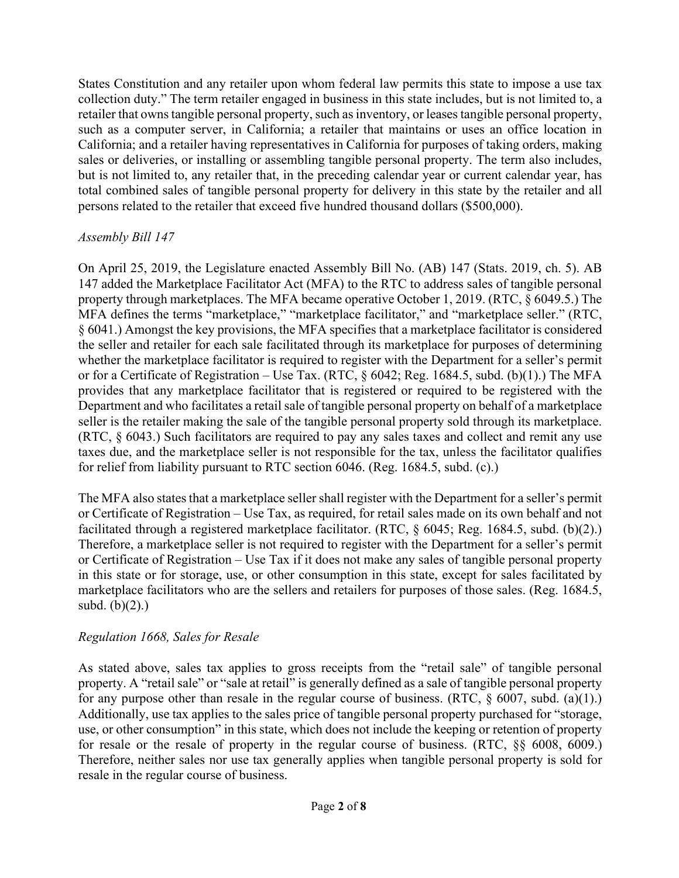States Constitution and any retailer upon whom federal law permits this state to impose a use tax collection duty." The term retailer engaged in business in this state includes, but is not limited to, a retailer that owns tangible personal property, such as inventory, or leases tangible personal property, such as a computer server, in California; a retailer that maintains or uses an office location in California; and a retailer having representatives in California for purposes of taking orders, making sales or deliveries, or installing or assembling tangible personal property. The term also includes, but is not limited to, any retailer that, in the preceding calendar year or current calendar year, has total combined sales of tangible personal property for delivery in this state by the retailer and all persons related to the retailer that exceed five hundred thousand dollars (\$500,000).

### *Assembly Bill 147*

On April 25, 2019, the Legislature enacted Assembly Bill No. (AB) 147 (Stats. 2019, ch. 5). AB 147 added the Marketplace Facilitator Act (MFA) to the RTC to address sales of tangible personal property through marketplaces. The MFA became operative October 1, 2019. (RTC, § 6049.5.) The MFA defines the terms "marketplace," "marketplace facilitator," and "marketplace seller." (RTC, § 6041.) Amongst the key provisions, the MFA specifies that a marketplace facilitator is considered the seller and retailer for each sale facilitated through its marketplace for purposes of determining whether the marketplace facilitator is required to register with the Department for a seller's permit or for a Certificate of Registration – Use Tax. (RTC, § 6042; Reg. 1684.5, subd. (b)(1).) The MFA provides that any marketplace facilitator that is registered or required to be registered with the Department and who facilitates a retail sale of tangible personal property on behalf of a marketplace seller is the retailer making the sale of the tangible personal property sold through its marketplace. (RTC, § 6043.) Such facilitators are required to pay any sales taxes and collect and remit any use taxes due, and the marketplace seller is not responsible for the tax, unless the facilitator qualifies for relief from liability pursuant to RTC section 6046. (Reg. 1684.5, subd. (c).)

The MFA also states that a marketplace seller shall register with the Department for a seller's permit or Certificate of Registration – Use Tax, as required, for retail sales made on its own behalf and not facilitated through a registered marketplace facilitator. (RTC, § 6045; Reg. 1684.5, subd. (b)(2).) Therefore, a marketplace seller is not required to register with the Department for a seller's permit or Certificate of Registration – Use Tax if it does not make any sales of tangible personal property in this state or for storage, use, or other consumption in this state, except for sales facilitated by marketplace facilitators who are the sellers and retailers for purposes of those sales. (Reg. 1684.5, subd. (b)(2).)

## *Regulation 1668, Sales for Resale*

As stated above, sales tax applies to gross receipts from the "retail sale" of tangible personal property. A "retail sale" or "sale at retail" is generally defined as a sale of tangible personal property for any purpose other than resale in the regular course of business. (RTC,  $\S$  6007, subd. (a)(1).) Additionally, use tax applies to the sales price of tangible personal property purchased for "storage, use, or other consumption" in this state, which does not include the keeping or retention of property for resale or the resale of property in the regular course of business. (RTC, §§ 6008, 6009.) Therefore, neither sales nor use tax generally applies when tangible personal property is sold for resale in the regular course of business.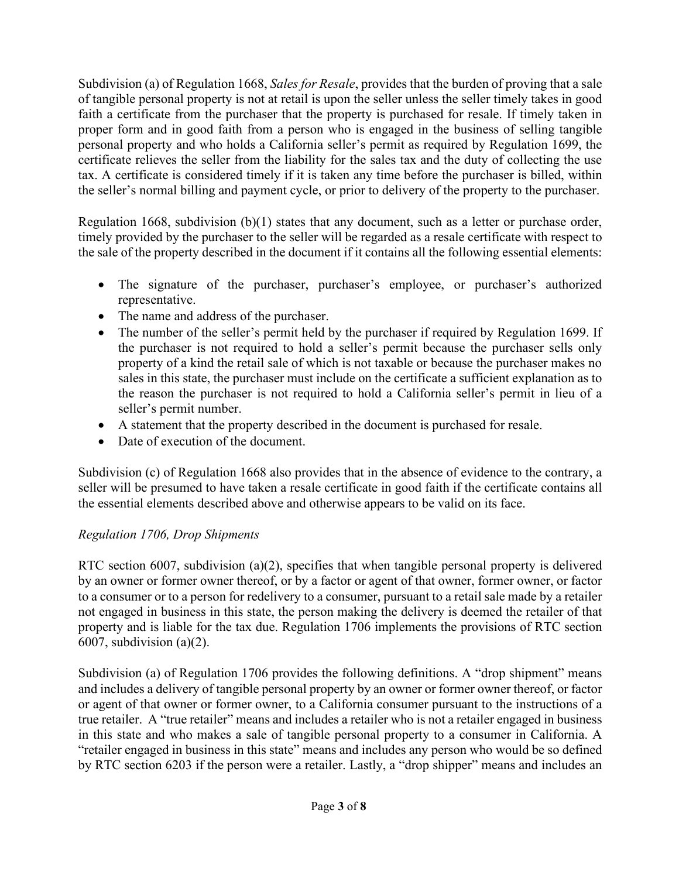Subdivision (a) of Regulation 1668, *Sales for Resale*, provides that the burden of proving that a sale of tangible personal property is not at retail is upon the seller unless the seller timely takes in good faith a certificate from the purchaser that the property is purchased for resale. If timely taken in proper form and in good faith from a person who is engaged in the business of selling tangible personal property and who holds a California seller's permit as required by Regulation 1699, the certificate relieves the seller from the liability for the sales tax and the duty of collecting the use tax. A certificate is considered timely if it is taken any time before the purchaser is billed, within the seller's normal billing and payment cycle, or prior to delivery of the property to the purchaser.

Regulation 1668, subdivision (b)(1) states that any document, such as a letter or purchase order, timely provided by the purchaser to the seller will be regarded as a resale certificate with respect to the sale of the property described in the document if it contains all the following essential elements:

- The signature of the purchaser, purchaser's employee, or purchaser's authorized representative.
- The name and address of the purchaser.
- The number of the seller's permit held by the purchaser if required by Regulation 1699. If the purchaser is not required to hold a seller's permit because the purchaser sells only property of a kind the retail sale of which is not taxable or because the purchaser makes no sales in this state, the purchaser must include on the certificate a sufficient explanation as to the reason the purchaser is not required to hold a California seller's permit in lieu of a seller's permit number.
- A statement that the property described in the document is purchased for resale.
- Date of execution of the document.

Subdivision (c) of Regulation 1668 also provides that in the absence of evidence to the contrary, a seller will be presumed to have taken a resale certificate in good faith if the certificate contains all the essential elements described above and otherwise appears to be valid on its face.

## *Regulation 1706, Drop Shipments*

RTC section 6007, subdivision (a)(2), specifies that when tangible personal property is delivered by an owner or former owner thereof, or by a factor or agent of that owner, former owner, or factor to a consumer or to a person for redelivery to a consumer, pursuant to a retail sale made by a retailer not engaged in business in this state, the person making the delivery is deemed the retailer of that property and is liable for the tax due. Regulation 1706 implements the provisions of RTC section 6007, subdivision  $(a)(2)$ .

Subdivision (a) of Regulation 1706 provides the following definitions. A "drop shipment" means and includes a delivery of tangible personal property by an owner or former owner thereof, or factor or agent of that owner or former owner, to a California consumer pursuant to the instructions of a true retailer. A "true retailer" means and includes a retailer who is not a retailer engaged in business in this state and who makes a sale of tangible personal property to a consumer in California. A "retailer engaged in business in this state" means and includes any person who would be so defined by RTC section 6203 if the person were a retailer. Lastly, a "drop shipper" means and includes an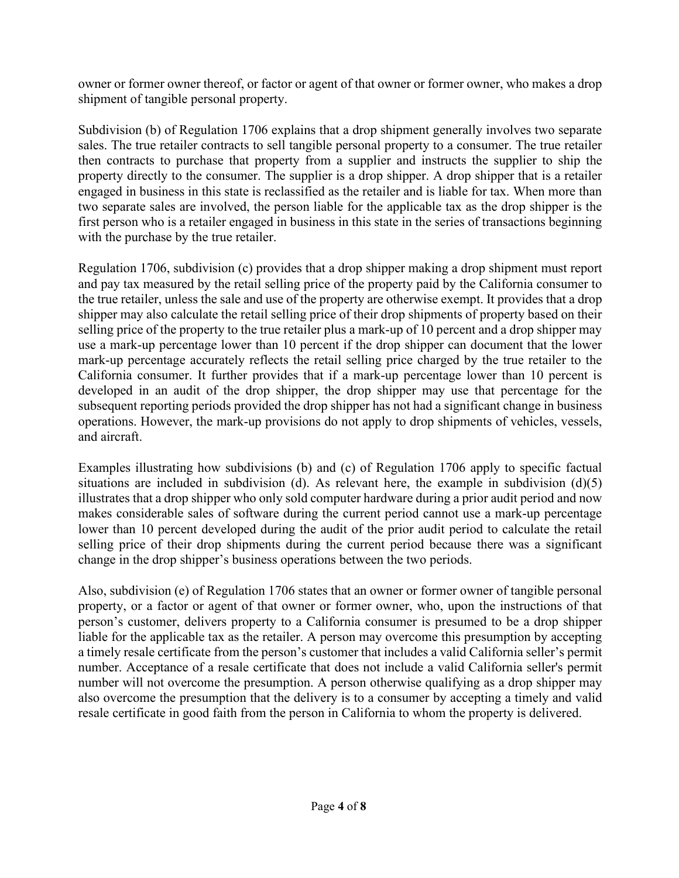owner or former owner thereof, or factor or agent of that owner or former owner, who makes a drop shipment of tangible personal property.

Subdivision (b) of Regulation 1706 explains that a drop shipment generally involves two separate sales. The true retailer contracts to sell tangible personal property to a consumer. The true retailer then contracts to purchase that property from a supplier and instructs the supplier to ship the property directly to the consumer. The supplier is a drop shipper. A drop shipper that is a retailer engaged in business in this state is reclassified as the retailer and is liable for tax. When more than two separate sales are involved, the person liable for the applicable tax as the drop shipper is the first person who is a retailer engaged in business in this state in the series of transactions beginning with the purchase by the true retailer.

Regulation 1706, subdivision (c) provides that a drop shipper making a drop shipment must report and pay tax measured by the retail selling price of the property paid by the California consumer to the true retailer, unless the sale and use of the property are otherwise exempt. It provides that a drop shipper may also calculate the retail selling price of their drop shipments of property based on their selling price of the property to the true retailer plus a mark-up of 10 percent and a drop shipper may use a mark-up percentage lower than 10 percent if the drop shipper can document that the lower mark-up percentage accurately reflects the retail selling price charged by the true retailer to the California consumer. It further provides that if a mark-up percentage lower than 10 percent is developed in an audit of the drop shipper, the drop shipper may use that percentage for the subsequent reporting periods provided the drop shipper has not had a significant change in business operations. However, the mark-up provisions do not apply to drop shipments of vehicles, vessels, and aircraft.

Examples illustrating how subdivisions (b) and (c) of Regulation 1706 apply to specific factual situations are included in subdivision (d). As relevant here, the example in subdivision (d)(5) illustrates that a drop shipper who only sold computer hardware during a prior audit period and now makes considerable sales of software during the current period cannot use a mark-up percentage lower than 10 percent developed during the audit of the prior audit period to calculate the retail selling price of their drop shipments during the current period because there was a significant change in the drop shipper's business operations between the two periods.

Also, subdivision (e) of Regulation 1706 states that an owner or former owner of tangible personal property, or a factor or agent of that owner or former owner, who, upon the instructions of that person's customer, delivers property to a California consumer is presumed to be a drop shipper liable for the applicable tax as the retailer. A person may overcome this presumption by accepting a timely resale certificate from the person's customer that includes a valid California seller's permit number. Acceptance of a resale certificate that does not include a valid California seller's permit number will not overcome the presumption. A person otherwise qualifying as a drop shipper may also overcome the presumption that the delivery is to a consumer by accepting a timely and valid resale certificate in good faith from the person in California to whom the property is delivered.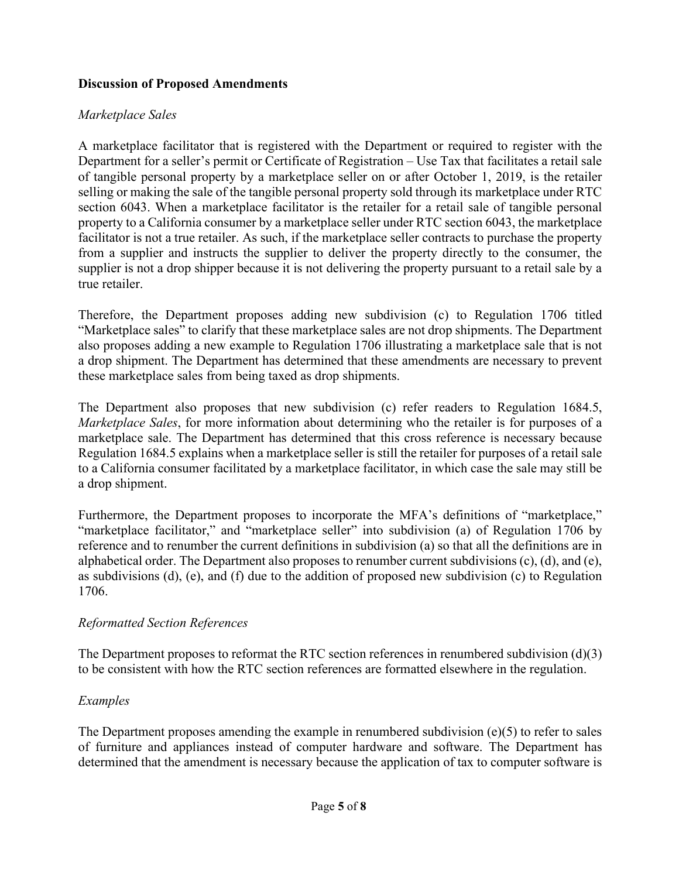#### **Discussion of Proposed Amendments**

#### *Marketplace Sales*

A marketplace facilitator that is registered with the Department or required to register with the Department for a seller's permit or Certificate of Registration – Use Tax that facilitates a retail sale of tangible personal property by a marketplace seller on or after October 1, 2019, is the retailer selling or making the sale of the tangible personal property sold through its marketplace under RTC section 6043. When a marketplace facilitator is the retailer for a retail sale of tangible personal property to a California consumer by a marketplace seller under RTC section 6043, the marketplace facilitator is not a true retailer. As such, if the marketplace seller contracts to purchase the property from a supplier and instructs the supplier to deliver the property directly to the consumer, the supplier is not a drop shipper because it is not delivering the property pursuant to a retail sale by a true retailer.

Therefore, the Department proposes adding new subdivision (c) to Regulation 1706 titled "Marketplace sales" to clarify that these marketplace sales are not drop shipments. The Department also proposes adding a new example to Regulation 1706 illustrating a marketplace sale that is not a drop shipment. The Department has determined that these amendments are necessary to prevent these marketplace sales from being taxed as drop shipments.

The Department also proposes that new subdivision (c) refer readers to Regulation 1684.5, *Marketplace Sales*, for more information about determining who the retailer is for purposes of a marketplace sale. The Department has determined that this cross reference is necessary because Regulation 1684.5 explains when a marketplace seller is still the retailer for purposes of a retail sale to a California consumer facilitated by a marketplace facilitator, in which case the sale may still be a drop shipment.

Furthermore, the Department proposes to incorporate the MFA's definitions of "marketplace," "marketplace facilitator," and "marketplace seller" into subdivision (a) of Regulation 1706 by reference and to renumber the current definitions in subdivision (a) so that all the definitions are in alphabetical order. The Department also proposes to renumber current subdivisions (c), (d), and (e), as subdivisions (d), (e), and (f) due to the addition of proposed new subdivision (c) to Regulation 1706.

## *Reformatted Section References*

The Department proposes to reformat the RTC section references in renumbered subdivision (d)(3) to be consistent with how the RTC section references are formatted elsewhere in the regulation.

## *Examples*

The Department proposes amending the example in renumbered subdivision (e)(5) to refer to sales of furniture and appliances instead of computer hardware and software. The Department has determined that the amendment is necessary because the application of tax to computer software is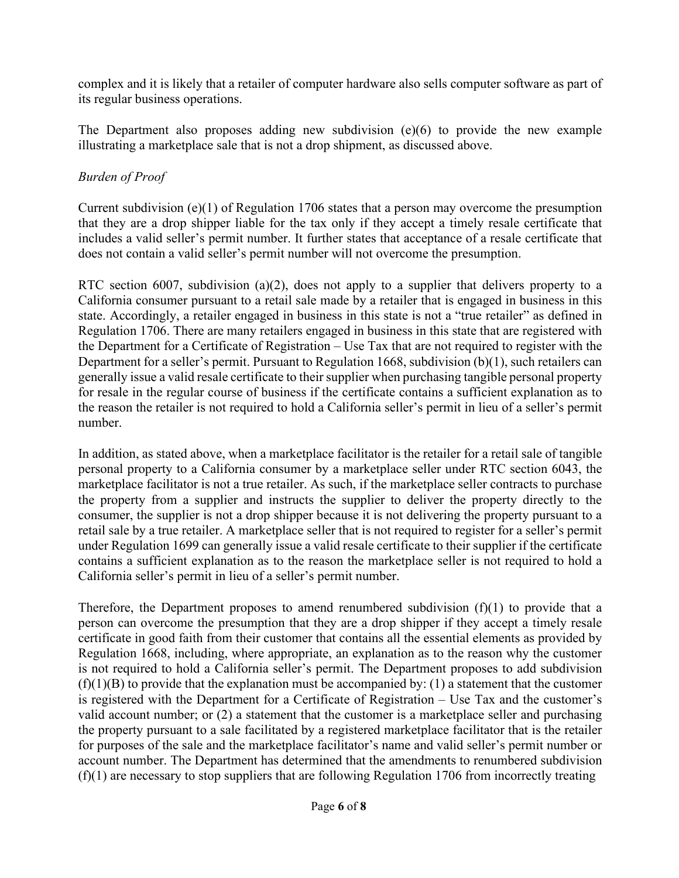complex and it is likely that a retailer of computer hardware also sells computer software as part of its regular business operations.

The Department also proposes adding new subdivision (e)(6) to provide the new example illustrating a marketplace sale that is not a drop shipment, as discussed above.

## *Burden of Proof*

Current subdivision (e)(1) of Regulation 1706 states that a person may overcome the presumption that they are a drop shipper liable for the tax only if they accept a timely resale certificate that includes a valid seller's permit number. It further states that acceptance of a resale certificate that does not contain a valid seller's permit number will not overcome the presumption.

RTC section 6007, subdivision (a)(2), does not apply to a supplier that delivers property to a California consumer pursuant to a retail sale made by a retailer that is engaged in business in this state. Accordingly, a retailer engaged in business in this state is not a "true retailer" as defined in Regulation 1706. There are many retailers engaged in business in this state that are registered with the Department for a Certificate of Registration – Use Tax that are not required to register with the Department for a seller's permit. Pursuant to Regulation 1668, subdivision (b)(1), such retailers can generally issue a valid resale certificate to their supplier when purchasing tangible personal property for resale in the regular course of business if the certificate contains a sufficient explanation as to the reason the retailer is not required to hold a California seller's permit in lieu of a seller's permit number.

In addition, as stated above, when a marketplace facilitator is the retailer for a retail sale of tangible personal property to a California consumer by a marketplace seller under RTC section 6043, the marketplace facilitator is not a true retailer. As such, if the marketplace seller contracts to purchase the property from a supplier and instructs the supplier to deliver the property directly to the consumer, the supplier is not a drop shipper because it is not delivering the property pursuant to a retail sale by a true retailer. A marketplace seller that is not required to register for a seller's permit under Regulation 1699 can generally issue a valid resale certificate to their supplier if the certificate contains a sufficient explanation as to the reason the marketplace seller is not required to hold a California seller's permit in lieu of a seller's permit number.

Therefore, the Department proposes to amend renumbered subdivision  $(f)(1)$  to provide that a person can overcome the presumption that they are a drop shipper if they accept a timely resale certificate in good faith from their customer that contains all the essential elements as provided by Regulation 1668, including, where appropriate, an explanation as to the reason why the customer is not required to hold a California seller's permit. The Department proposes to add subdivision  $(f)(1)(B)$  to provide that the explanation must be accompanied by: (1) a statement that the customer is registered with the Department for a Certificate of Registration – Use Tax and the customer's valid account number; or  $(2)$  a statement that the customer is a marketplace seller and purchasing the property pursuant to a sale facilitated by a registered marketplace facilitator that is the retailer for purposes of the sale and the marketplace facilitator's name and valid seller's permit number or account number. The Department has determined that the amendments to renumbered subdivision  $(f)(1)$  are necessary to stop suppliers that are following Regulation 1706 from incorrectly treating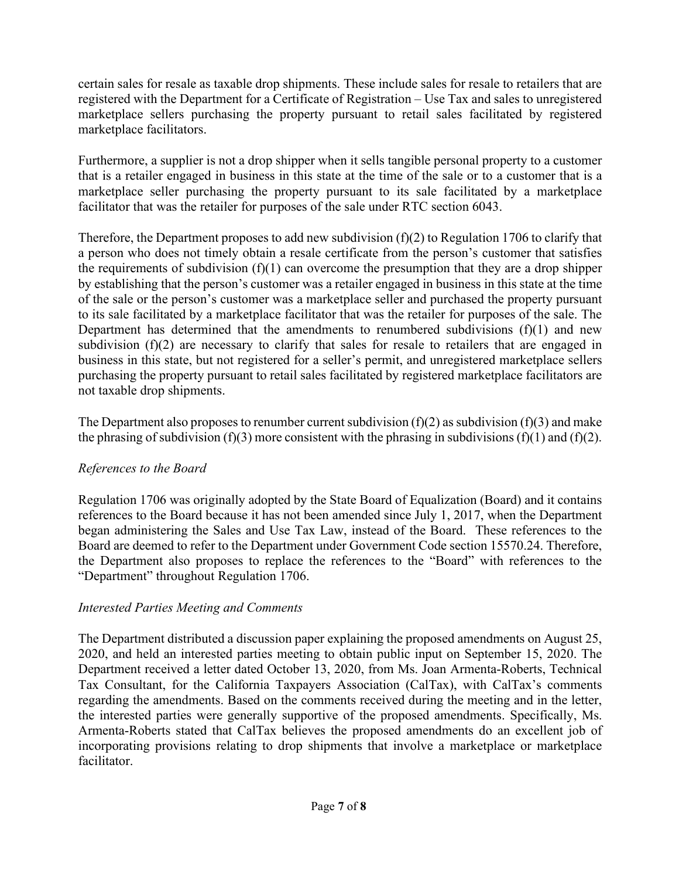certain sales for resale as taxable drop shipments. These include sales for resale to retailers that are registered with the Department for a Certificate of Registration – Use Tax and sales to unregistered marketplace sellers purchasing the property pursuant to retail sales facilitated by registered marketplace facilitators.

Furthermore, a supplier is not a drop shipper when it sells tangible personal property to a customer that is a retailer engaged in business in this state at the time of the sale or to a customer that is a marketplace seller purchasing the property pursuant to its sale facilitated by a marketplace facilitator that was the retailer for purposes of the sale under RTC section 6043.

Therefore, the Department proposes to add new subdivision (f)(2) to Regulation 1706 to clarify that a person who does not timely obtain a resale certificate from the person's customer that satisfies the requirements of subdivision  $(f)(1)$  can overcome the presumption that they are a drop shipper by establishing that the person's customer was a retailer engaged in business in this state at the time of the sale or the person's customer was a marketplace seller and purchased the property pursuant to its sale facilitated by a marketplace facilitator that was the retailer for purposes of the sale. The Department has determined that the amendments to renumbered subdivisions  $(f)(1)$  and new subdivision (f)(2) are necessary to clarify that sales for resale to retailers that are engaged in business in this state, but not registered for a seller's permit, and unregistered marketplace sellers purchasing the property pursuant to retail sales facilitated by registered marketplace facilitators are not taxable drop shipments.

The Department also proposes to renumber current subdivision  $(f)(2)$  as subdivision  $(f)(3)$  and make the phrasing of subdivision (f)(3) more consistent with the phrasing in subdivisions (f)(1) and (f)(2).

## *References to the Board*

Regulation 1706 was originally adopted by the State Board of Equalization (Board) and it contains references to the Board because it has not been amended since July 1, 2017, when the Department began administering the Sales and Use Tax Law, instead of the Board. These references to the Board are deemed to refer to the Department under Government Code section 15570.24. Therefore, the Department also proposes to replace the references to the "Board" with references to the "Department" throughout Regulation 1706.

## *Interested Parties Meeting and Comments*

The Department distributed a discussion paper explaining the proposed amendments on August 25, 2020, and held an interested parties meeting to obtain public input on September 15, 2020. The Department received a letter dated October 13, 2020, from Ms. Joan Armenta-Roberts, Technical Tax Consultant, for the California Taxpayers Association (CalTax), with CalTax's comments regarding the amendments. Based on the comments received during the meeting and in the letter, the interested parties were generally supportive of the proposed amendments. Specifically, Ms. Armenta-Roberts stated that CalTax believes the proposed amendments do an excellent job of incorporating provisions relating to drop shipments that involve a marketplace or marketplace facilitator.